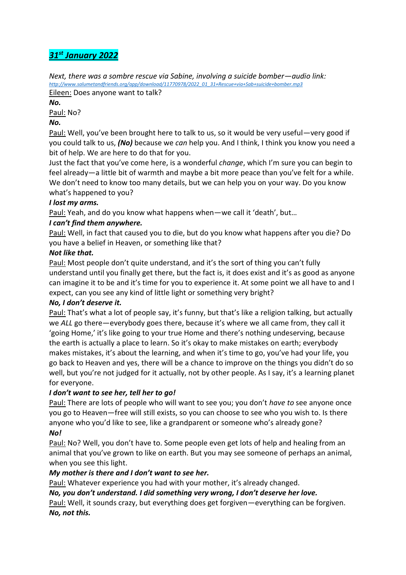# *31st January 2022*

*Next, there was a sombre rescue via Sabine, involving a suicide bomber—audio link: [http://www.salumetandfriends.org/app/download/11770978/2022\\_01\\_31+Rescue+via+Sab+suicide+bomber.mp3](http://www.salumetandfriends.org/app/download/11770978/2022_01_31+Rescue+via+Sab+suicide+bomber.mp3)* Eileen: Does anyone want to talk?

*No.*

Paul: No?

#### *No.*

Paul: Well, you've been brought here to talk to us, so it would be very useful—very good if you could talk to us, *(No)* because we *can* help you. And I think, I think you know you need a bit of help. We are here to do that for you.

Just the fact that you've come here, is a wonderful *change*, which I'm sure you can begin to feel already—a little bit of warmth and maybe a bit more peace than you've felt for a while. We don't need to know too many details, but we can help you on your way. Do you know what's happened to you?

### *I lost my arms.*

Paul: Yeah, and do you know what happens when—we call it 'death', but…

## *I can't find them anywhere.*

Paul: Well, in fact that caused you to die, but do you know what happens after you die? Do you have a belief in Heaven, or something like that?

### *Not like that.*

Paul: Most people don't quite understand, and it's the sort of thing you can't fully understand until you finally get there, but the fact is, it does exist and it's as good as anyone can imagine it to be and it's time for you to experience it. At some point we all have to and I expect, can you see any kind of little light or something very bright?

### *No, I don't deserve it.*

Paul: That's what a lot of people say, it's funny, but that's like a religion talking, but actually we *ALL* go there—everybody goes there, because it's where we all came from, they call it 'going Home,' it's like going to your true Home and there's nothing undeserving, because the earth is actually a place to learn. So it's okay to make mistakes on earth; everybody makes mistakes, it's about the learning, and when it's time to go, you've had your life, you go back to Heaven and yes, there will be a chance to improve on the things you didn't do so well, but you're not judged for it actually, not by other people. As I say, it's a learning planet for everyone.

### *I don't want to see her, tell her to go!*

Paul: There are lots of people who will want to see you; you don't *have to* see anyone once you go to Heaven—free will still exists, so you can choose to see who you wish to. Is there anyone who you'd like to see, like a grandparent or someone who's already gone? *No!*

## Paul: No? Well, you don't have to. Some people even get lots of help and healing from an animal that you've grown to like on earth. But you may see someone of perhaps an animal, when you see this light.

### *My mother is there and I don't want to see her.*

Paul: Whatever experience you had with your mother, it's already changed.

### *No, you don't understand. I did something very wrong, I don't deserve her love.*

Paul: Well, it sounds crazy, but everything does get forgiven—everything can be forgiven. *No, not this.*